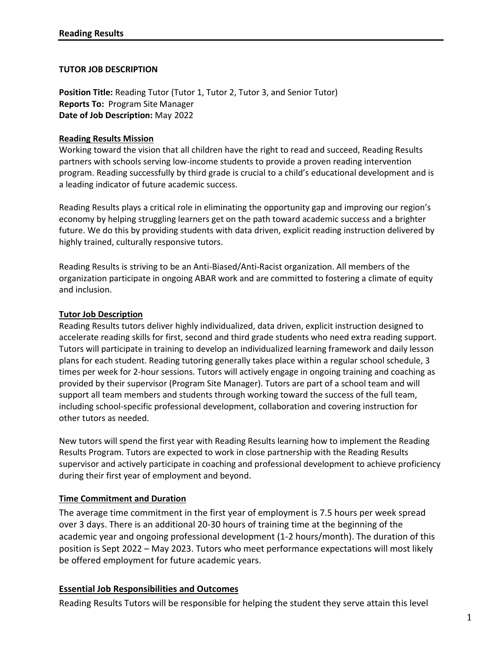## **TUTOR JOB DESCRIPTION**

**Position Title:** Reading Tutor (Tutor 1, Tutor 2, Tutor 3, and Senior Tutor) **Reports To:** Program Site Manager **Date of Job Description:** May 2022

#### **Reading Results Mission**

Working toward the vision that all children have the right to read and succeed, Reading Results partners with schools serving low-income students to provide a proven reading intervention program. Reading successfully by third grade is crucial to a child's educational development and is a leading indicator of future academic success.

Reading Results plays a critical role in eliminating the opportunity gap and improving our region's economy by helping struggling learners get on the path toward academic success and a brighter future. We do this by providing students with data driven, explicit reading instruction delivered by highly trained, culturally responsive tutors.

Reading Results is striving to be an Anti-Biased/Anti-Racist organization. All members of the organization participate in ongoing ABAR work and are committed to fostering a climate of equity and inclusion.

#### **Tutor Job Description**

Reading Results tutors deliver highly individualized, data driven, explicit instruction designed to accelerate reading skills for first, second and third grade students who need extra reading support. Tutors will participate in training to develop an individualized learning framework and daily lesson plans for each student. Reading tutoring generally takes place within a regular school schedule, 3 times per week for 2-hour sessions. Tutors will actively engage in ongoing training and coaching as provided by their supervisor (Program Site Manager). Tutors are part of a school team and will support all team members and students through working toward the success of the full team, including school-specific professional development, collaboration and covering instruction for other tutors as needed.

New tutors will spend the first year with Reading Results learning how to implement the Reading Results Program. Tutors are expected to work in close partnership with the Reading Results supervisor and actively participate in coaching and professional development to achieve proficiency during their first year of employment and beyond.

## **Time Commitment and Duration**

The average time commitment in the first year of employment is 7.5 hours per week spread over 3 days. There is an additional 20-30 hours of training time at the beginning of the academic year and ongoing professional development (1-2 hours/month). The duration of this position is Sept 2022 – May 2023. Tutors who meet performance expectations will most likely be offered employment for future academic years.

## **Essential Job Responsibilities and Outcomes**

Reading Results Tutors will be responsible for helping the student they serve attain this level